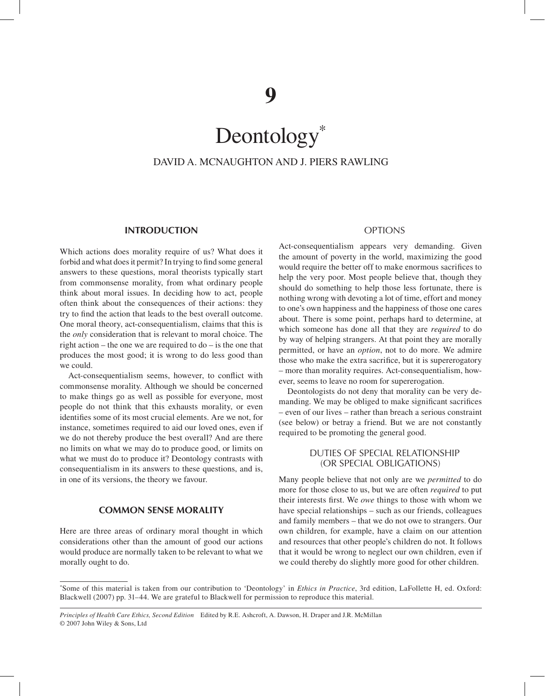# Deontology\*

## DAVID A. MCNAUGHTON AND J. PIERS RAWLING

#### **INTRODUCTION**

Which actions does morality require of us? What does it forbid and what does it permit? In trying to find some general answers to these questions, moral theorists typically start from commonsense morality, from what ordinary people think about moral issues. In deciding how to act, people often think about the consequences of their actions: they try to find the action that leads to the best overall outcome. One moral theory, act-consequentialism, claims that this is the *only* consideration that is relevant to moral choice. The right action – the one we are required to do – is the one that produces the most good; it is wrong to do less good than we could.

Act-consequentialism seems, however, to conflict with commonsense morality. Although we should be concerned to make things go as well as possible for everyone, most people do not think that this exhausts morality, or even identifies some of its most crucial elements. Are we not, for instance, sometimes required to aid our loved ones, even if we do not thereby produce the best overall? And are there no limits on what we may do to produce good, or limits on what we must do to produce it? Deontology contrasts with consequentialism in its answers to these questions, and is, in one of its versions, the theory we favour.

#### **COMMON SENSE MORALITY**

Here are three areas of ordinary moral thought in which considerations other than the amount of good our actions would produce are normally taken to be relevant to what we morally ought to do.

#### **OPTIONS**

Act-consequentialism appears very demanding. Given the amount of poverty in the world, maximizing the good would require the better off to make enormous sacrifices to help the very poor. Most people believe that, though they should do something to help those less fortunate, there is nothing wrong with devoting a lot of time, effort and money to one's own happiness and the happiness of those one cares about. There is some point, perhaps hard to determine, at which someone has done all that they are *required* to do by way of helping strangers. At that point they are morally permitted, or have an *option*, not to do more. We admire those who make the extra sacrifice, but it is supererogatory – more than morality requires. Act-consequentialism, however, seems to leave no room for supererogation.

Deontologists do not deny that morality can be very demanding. We may be obliged to make significant sacrifices – even of our lives – rather than breach a serious constraint (see below) or betray a friend. But we are not constantly required to be promoting the general good.

#### DUTIES OF SPECIAL RELATIONSHIP (OR SPECIAL OBLIGATIONS)

Many people believe that not only are we *permitted* to do more for those close to us, but we are often *required* to put their interests first. We *owe* things to those with whom we have special relationships – such as our friends, colleagues and family members – that we do not owe to strangers. Our own children, for example, have a claim on our attention and resources that other people's children do not. It follows that it would be wrong to neglect our own children, even if we could thereby do slightly more good for other children.

<sup>\*</sup> Some of this material is taken from our contribution to 'Deontology' in *Ethics in Practice*, 3rd edition, LaFollette H, ed. Oxford: Blackwell (2007) pp. 31–44. We are grateful to Blackwell for permission to reproduce this material.

*Principles of Health Care Ethics, Second Edition* Edited by R.E. Ashcroft, A. Dawson, H. Draper and J.R. McMillan © 2007 John Wiley & Sons, Ltd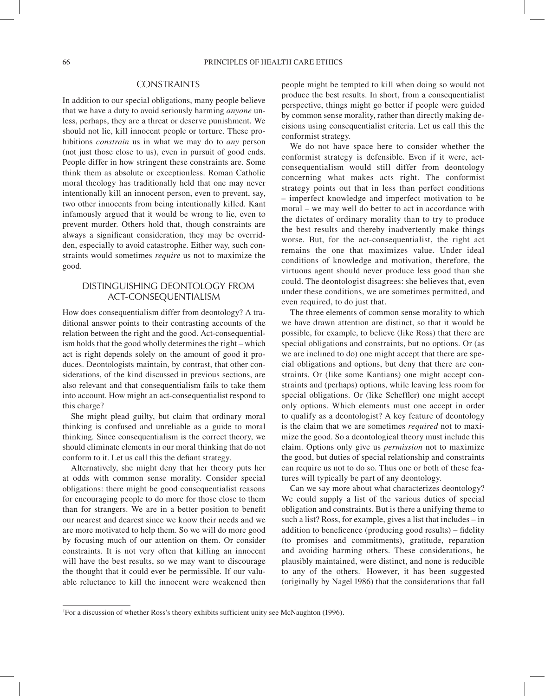#### CONSTRAINTS

In addition to our special obligations, many people believe that we have a duty to avoid seriously harming *anyone* unless, perhaps, they are a threat or deserve punishment. We should not lie, kill innocent people or torture. These prohibitions *constrain* us in what we may do to *any* person (not just those close to us), even in pursuit of good ends. People differ in how stringent these constraints are. Some think them as absolute or exceptionless. Roman Catholic moral theology has traditionally held that one may never intentionally kill an innocent person, even to prevent, say, two other innocents from being intentionally killed. Kant infamously argued that it would be wrong to lie, even to prevent murder. Others hold that, though constraints are always a significant consideration, they may be overridden, especially to avoid catastrophe. Either way, such constraints would sometimes *require* us not to maximize the good.

#### DISTINGUISHING DEONTOLOGY FROM ACT-CONSEQUENTIALISM

How does consequentialism differ from deontology? A traditional answer points to their contrasting accounts of the relation between the right and the good. Act-consequentialism holds that the good wholly determines the right – which act is right depends solely on the amount of good it produces. Deontologists maintain, by contrast, that other considerations, of the kind discussed in previous sections, are also relevant and that consequentialism fails to take them into account. How might an act-consequentialist respond to this charge?

She might plead guilty, but claim that ordinary moral thinking is confused and unreliable as a guide to moral thinking. Since consequentialism is the correct theory, we should eliminate elements in our moral thinking that do not conform to it. Let us call this the defiant strategy.

Alternatively, she might deny that her theory puts her at odds with common sense morality. Consider special obligations: there might be good consequentialist reasons for encouraging people to do more for those close to them than for strangers. We are in a better position to benefit our nearest and dearest since we know their needs and we are more motivated to help them. So we will do more good by focusing much of our attention on them. Or consider constraints. It is not very often that killing an innocent will have the best results, so we may want to discourage the thought that it could ever be permissible. If our valuable reluctance to kill the innocent were weakened then

people might be tempted to kill when doing so would not produce the best results. In short, from a consequentialist perspective, things might go better if people were guided by common sense morality, rather than directly making decisions using consequentialist criteria. Let us call this the conformist strategy.

We do not have space here to consider whether the conformist strategy is defensible. Even if it were, actconsequentialism would still differ from deontology concerning what makes acts right. The conformist strategy points out that in less than perfect conditions – imperfect knowledge and imperfect motivation to be moral – we may well do better to act in accordance with the dictates of ordinary morality than to try to produce the best results and thereby inadvertently make things worse. But, for the act-consequentialist, the right act remains the one that maximizes value. Under ideal conditions of knowledge and motivation, therefore, the virtuous agent should never produce less good than she could. The deontologist disagrees: she believes that, even under these conditions, we are sometimes permitted, and even required, to do just that.

The three elements of common sense morality to which we have drawn attention are distinct, so that it would be possible, for example, to believe (like Ross) that there are special obligations and constraints, but no options. Or (as we are inclined to do) one might accept that there are special obligations and options, but deny that there are constraints. Or (like some Kantians) one might accept constraints and (perhaps) options, while leaving less room for special obligations. Or (like Scheffler) one might accept only options. Which elements must one accept in order to qualify as a deontologist? A key feature of deontology is the claim that we are sometimes *required* not to maximize the good. So a deontological theory must include this claim. Options only give us *permission* not to maximize the good, but duties of special relationship and constraints can require us not to do so. Thus one or both of these features will typically be part of any deontology.

Can we say more about what characterizes deontology? We could supply a list of the various duties of special obligation and constraints. But is there a unifying theme to such a list? Ross, for example, gives a list that includes – in addition to beneficence (producing good results) – fidelity (to promises and commitments), gratitude, reparation and avoiding harming others. These considerations, he plausibly maintained, were distinct, and none is reducible to any of the others.† However, it has been suggested (originally by Nagel 1986) that the considerations that fall

<sup>†</sup> For a discussion of whether Ross's theory exhibits sufficient unity see McNaughton (1996).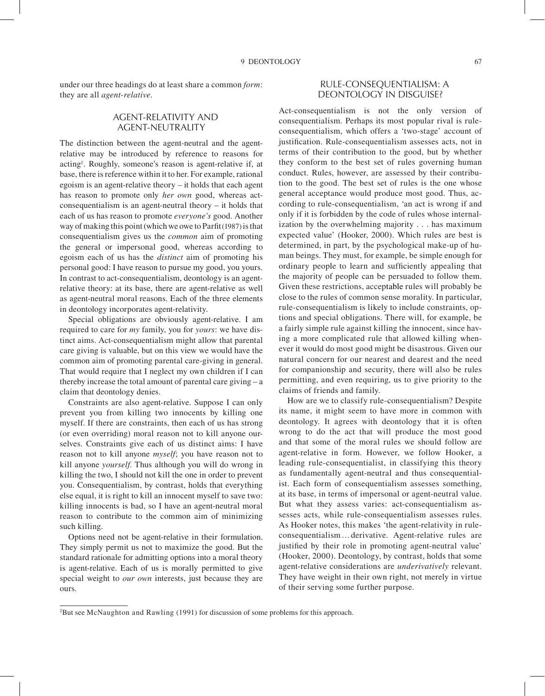under our three headings do at least share a common *form*: they are all *agent-relative*.

#### AGENT-RELATIVITY AND AGENT-NEUTRALITY

The distinction between the agent-neutral and the agentrelative may be introduced by reference to reasons for acting‡ . Roughly, someone's reason is agent-relative if, at base, there is reference within it to her. For example, rational egoism is an agent-relative theory – it holds that each agent has reason to promote only *her own* good, whereas actconsequentialism is an agent-neutral theory – it holds that each of us has reason to promote *everyone's* good. Another way of making this point (which we owe to Parfit (1987) is that consequentialism gives us the *common* aim of promoting the general or impersonal good, whereas according to egoism each of us has the *distinct* aim of promoting his personal good: I have reason to pursue my good, you yours. In contrast to act-consequentialism, deontology is an agentrelative theory: at its base, there are agent-relative as well as agent-neutral moral reasons. Each of the three elements in deontology incorporates agent-relativity.

Special obligations are obviously agent-relative. I am required to care for *my* family, you for *yours*: we have distinct aims. Act-consequentialism might allow that parental care giving is valuable, but on this view we would have the common aim of promoting parental care-giving in general. That would require that I neglect my own children if I can thereby increase the total amount of parental care giving – a claim that deontology denies.

Constraints are also agent-relative. Suppose I can only prevent you from killing two innocents by killing one myself. If there are constraints, then each of us has strong (or even overriding) moral reason not to kill anyone ourselves. Constraints give each of us distinct aims: I have reason not to kill anyone *myself*; you have reason not to kill anyone *yourself*. Thus although you will do wrong in killing the two, I should not kill the one in order to prevent you. Consequentialism, by contrast, holds that everything else equal, it is right to kill an innocent myself to save two: killing innocents is bad, so I have an agent-neutral moral reason to contribute to the common aim of minimizing such killing.

Options need not be agent-relative in their formulation. They simply permit us not to maximize the good. But the standard rationale for admitting options into a moral theory is agent-relative. Each of us is morally permitted to give special weight to *our own* interests, just because they are ours.

#### RULE-CONSEQUENTIALISM: A DEONTOLOGY IN DISGUISE?

Act-consequentialism is not the only version of consequentialism. Perhaps its most popular rival is ruleconsequentialism, which offers a 'two-stage' account of justification. Rule-consequentialism assesses acts, not in terms of their contribution to the good, but by whether they conform to the best set of rules governing human conduct. Rules, however, are assessed by their contribution to the good. The best set of rules is the one whose general acceptance would produce most good. Thus, according to rule-consequentialism, 'an act is wrong if and only if it is forbidden by the code of rules whose internalization by the overwhelming majority . . . has maximum expected value' (Hooker, 2000). Which rules are best is determined, in part, by the psychological make-up of human beings. They must, for example, be simple enough for ordinary people to learn and sufficiently appealing that the majority of people can be persuaded to follow them. Given these restrictions, acceptable rules will probably be close to the rules of common sense morality. In particular, rule-consequentialism is likely to include constraints, options and special obligations. There will, for example, be a fairly simple rule against killing the innocent, since having a more complicated rule that allowed killing whenever it would do most good might be disastrous. Given our natural concern for our nearest and dearest and the need for companionship and security, there will also be rules permitting, and even requiring, us to give priority to the claims of friends and family.

How are we to classify rule-consequentialism? Despite its name, it might seem to have more in common with deontology. It agrees with deontology that it is often wrong to do the act that will produce the most good and that some of the moral rules we should follow are agent-relative in form. However, we follow Hooker, a leading rule-consequentialist, in classifying this theory as fundamentally agent-neutral and thus consequentialist. Each form of consequentialism assesses something, at its base, in terms of impersonal or agent-neutral value. But what they assess varies: act-consequentialism assesses acts, while rule-consequentialism assesses rules. As Hooker notes, this makes 'the agent-relativity in ruleconsequentialism…derivative. Agent-relative rules are justified by their role in promoting agent-neutral value' (Hooker, 2000). Deontology, by contrast, holds that some agent-relative considerations are *underivatively* relevant. They have weight in their own right, not merely in virtue of their serving some further purpose.

<sup>‡</sup> But see McNaughton and Rawling (1991) for discussion of some problems for this approach.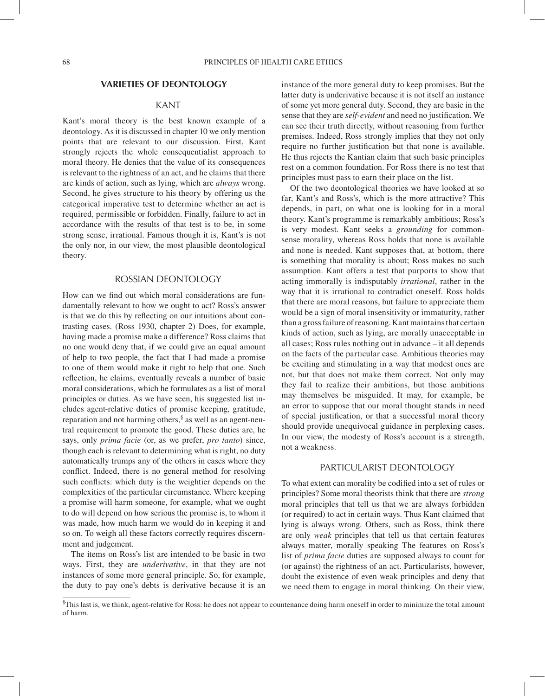#### **VARIETIES OF DEONTOLOGY**

### KANT

Kant's moral theory is the best known example of a deontology. As it is discussed in chapter 10 we only mention points that are relevant to our discussion. First, Kant strongly rejects the whole consequentialist approach to moral theory. He denies that the value of its consequences is relevant to the rightness of an act, and he claims that there are kinds of action, such as lying, which are *always* wrong. Second, he gives structure to his theory by offering us the categorical imperative test to determine whether an act is required, permissible or forbidden. Finally, failure to act in accordance with the results of that test is to be, in some strong sense, irrational. Famous though it is, Kant's is not the only nor, in our view, the most plausible deontological theory.

#### ROSSIAN DEONTOLOGY

How can we find out which moral considerations are fundamentally relevant to how we ought to act? Ross's answer is that we do this by reflecting on our intuitions about contrasting cases. (Ross 1930, chapter 2) Does, for example, having made a promise make a difference? Ross claims that no one would deny that, if we could give an equal amount of help to two people, the fact that I had made a promise to one of them would make it right to help that one. Such reflection, he claims, eventually reveals a number of basic moral considerations, which he formulates as a list of moral principles or duties. As we have seen, his suggested list includes agent-relative duties of promise keeping, gratitude, reparation and not harming others,§ as well as an agent-neutral requirement to promote the good. These duties are, he says, only *prima facie* (or, as we prefer, *pro tanto*) since, though each is relevant to determining what is right, no duty automatically trumps any of the others in cases where they conflict. Indeed, there is no general method for resolving such conflicts: which duty is the weightier depends on the complexities of the particular circumstance. Where keeping a promise will harm someone, for example, what we ought to do will depend on how serious the promise is, to whom it was made, how much harm we would do in keeping it and so on. To weigh all these factors correctly requires discernment and judgement.

The items on Ross's list are intended to be basic in two ways. First, they are *underivative*, in that they are not instances of some more general principle. So, for example, the duty to pay one's debts is derivative because it is an instance of the more general duty to keep promises. But the latter duty is underivative because it is not itself an instance of some yet more general duty. Second, they are basic in the sense that they are *self-evident* and need no justification. We can see their truth directly, without reasoning from further premises. Indeed, Ross strongly implies that they not only require no further justification but that none is available. He thus rejects the Kantian claim that such basic principles rest on a common foundation. For Ross there is no test that principles must pass to earn their place on the list.

Of the two deontological theories we have looked at so far, Kant's and Ross's, which is the more attractive? This depends, in part, on what one is looking for in a moral theory. Kant's programme is remarkably ambitious; Ross's is very modest. Kant seeks a *grounding* for commonsense morality, whereas Ross holds that none is available and none is needed. Kant supposes that, at bottom, there is something that morality is about; Ross makes no such assumption. Kant offers a test that purports to show that acting immorally is indisputably *irrational*, rather in the way that it is irrational to contradict oneself. Ross holds that there are moral reasons, but failure to appreciate them would be a sign of moral insensitivity or immaturity, rather than a gross failure of reasoning. Kant maintains that certain kinds of action, such as lying, are morally unacceptable in all cases; Ross rules nothing out in advance – it all depends on the facts of the particular case. Ambitious theories may be exciting and stimulating in a way that modest ones are not, but that does not make them correct. Not only may they fail to realize their ambitions, but those ambitions may themselves be misguided. It may, for example, be an error to suppose that our moral thought stands in need of special justification, or that a successful moral theory should provide unequivocal guidance in perplexing cases. In our view, the modesty of Ross's account is a strength, not a weakness.

#### PARTICULARIST DEONTOLOGY

To what extent can morality be codified into a set of rules or principles? Some moral theorists think that there are *strong* moral principles that tell us that we are always forbidden (or required) to act in certain ways. Thus Kant claimed that lying is always wrong. Others, such as Ross, think there are only *weak* principles that tell us that certain features always matter, morally speaking The features on Ross's list of *prima facie* duties are supposed always to count for (or against) the rightness of an act. Particularists, however, doubt the existence of even weak principles and deny that we need them to engage in moral thinking. On their view,

<sup>§</sup> This last is, we think, agent-relative for Ross: he does not appear to countenance doing harm oneself in order to minimize the total amount of harm.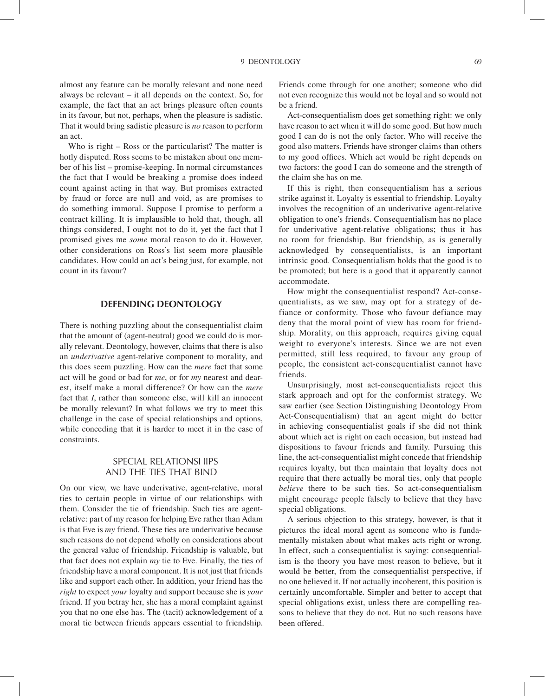almost any feature can be morally relevant and none need always be relevant – it all depends on the context. So, for example, the fact that an act brings pleasure often counts in its favour, but not, perhaps, when the pleasure is sadistic. That it would bring sadistic pleasure is *no* reason to perform an act.

Who is right – Ross or the particularist? The matter is hotly disputed. Ross seems to be mistaken about one member of his list – promise-keeping. In normal circumstances the fact that I would be breaking a promise does indeed count against acting in that way. But promises extracted by fraud or force are null and void, as are promises to do something immoral. Suppose I promise to perform a contract killing. It is implausible to hold that, though, all things considered, I ought not to do it, yet the fact that I promised gives me *some* moral reason to do it. However, other considerations on Ross's list seem more plausible candidates. How could an act's being just, for example, not count in its favour?

#### **DEFENDING DEONTOLOGY**

There is nothing puzzling about the consequentialist claim that the amount of (agent-neutral) good we could do is morally relevant. Deontology, however, claims that there is also an *underivative* agent-relative component to morality, and this does seem puzzling. How can the *mere* fact that some act will be good or bad for *me*, or for *my* nearest and dearest, itself make a moral difference? Or how can the *mere* fact that *I*, rather than someone else, will kill an innocent be morally relevant? In what follows we try to meet this challenge in the case of special relationships and options, while conceding that it is harder to meet it in the case of constraints.

#### SPECIAL RELATIONSHIPS AND THE TIES THAT BIND

On our view, we have underivative, agent-relative, moral ties to certain people in virtue of our relationships with them. Consider the tie of friendship. Such ties are agentrelative: part of my reason for helping Eve rather than Adam is that Eve is *my* friend. These ties are underivative because such reasons do not depend wholly on considerations about the general value of friendship. Friendship is valuable, but that fact does not explain *my* tie to Eve. Finally, the ties of friendship have a moral component. It is not just that friends like and support each other. In addition, your friend has the *right* to expect *your* loyalty and support because she is *your* friend. If you betray her, she has a moral complaint against you that no one else has. The (tacit) acknowledgement of a moral tie between friends appears essential to friendship.

Friends come through for one another; someone who did not even recognize this would not be loyal and so would not be a friend.

Act-consequentialism does get something right: we only have reason to act when it will do some good. But how much good I can do is not the only factor. Who will receive the good also matters. Friends have stronger claims than others to my good offices. Which act would be right depends on two factors: the good I can do someone and the strength of the claim she has on me.

If this is right, then consequentialism has a serious strike against it. Loyalty is essential to friendship. Loyalty involves the recognition of an underivative agent-relative obligation to one's friends. Consequentialism has no place for underivative agent-relative obligations; thus it has no room for friendship. But friendship, as is generally acknowledged by consequentialists, is an important intrinsic good. Consequentialism holds that the good is to be promoted; but here is a good that it apparently cannot accommodate.

How might the consequentialist respond? Act-consequentialists, as we saw, may opt for a strategy of defiance or conformity. Those who favour defiance may deny that the moral point of view has room for friendship. Morality, on this approach, requires giving equal weight to everyone's interests. Since we are not even permitted, still less required, to favour any group of people, the consistent act-consequentialist cannot have friends.

Unsurprisingly, most act-consequentialists reject this stark approach and opt for the conformist strategy. We saw earlier (see Section Distinguishing Deontology From Act-Consequentialism) that an agent might do better in achieving consequentialist goals if she did not think about which act is right on each occasion, but instead had dispositions to favour friends and family. Pursuing this line, the act-consequentialist might concede that friendship requires loyalty, but then maintain that loyalty does not require that there actually be moral ties, only that people *believe* there to be such ties. So act-consequentialism might encourage people falsely to believe that they have special obligations.

A serious objection to this strategy, however, is that it pictures the ideal moral agent as someone who is fundamentally mistaken about what makes acts right or wrong. In effect, such a consequentialist is saying: consequentialism is the theory you have most reason to believe, but it would be better, from the consequentialist perspective, if no one believed it. If not actually incoherent, this position is certainly uncomfortable. Simpler and better to accept that special obligations exist, unless there are compelling reasons to believe that they do not. But no such reasons have been offered.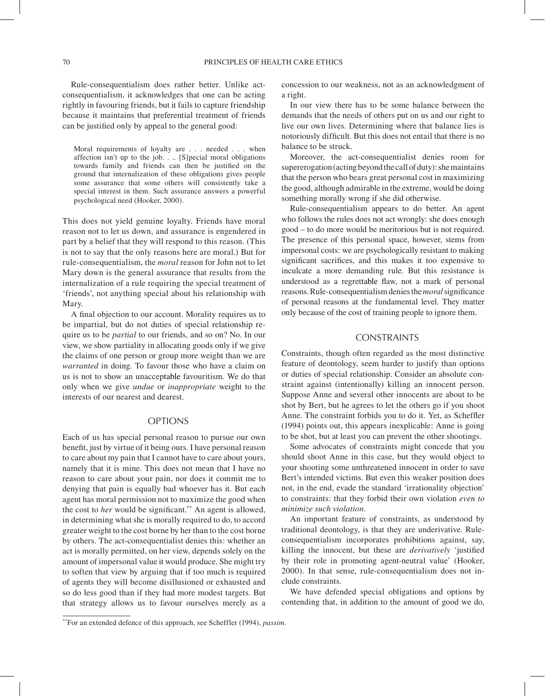Rule-consequentialism does rather better. Unlike actconsequentialism, it acknowledges that one can be acting rightly in favouring friends, but it fails to capture friendship because it maintains that preferential treatment of friends can be justified only by appeal to the general good:

Moral requirements of loyalty are . . . needed . . . when affection isn't up to the job. . .. [S]pecial moral obligations towards family and friends can then be justified on the ground that internalization of these obligations gives people some assurance that some others will consistently take a special interest in them. Such assurance answers a powerful psychological need (Hooker, 2000).

This does not yield genuine loyalty. Friends have moral reason not to let us down, and assurance is engendered in part by a belief that they will respond to this reason. (This is not to say that the only reasons here are moral.) But for rule-consequentialism, the *moral* reason for John not to let Mary down is the general assurance that results from the internalization of a rule requiring the special treatment of 'friends', not anything special about his relationship with Mary.

A final objection to our account. Morality requires us to be impartial, but do not duties of special relationship require us to be *partial* to our friends, and so on? No. In our view, we show partiality in allocating goods only if we give the claims of one person or group more weight than we are *warranted* in doing. To favour those who have a claim on us is not to show an unacceptable favouritism. We do that only when we give *undue* or *inappropriate* weight to the interests of our nearest and dearest.

#### **OPTIONS**

Each of us has special personal reason to pursue our own benefit, just by virtue of it being ours. I have personal reason to care about my pain that I cannot have to care about yours, namely that it is mine. This does not mean that I have no reason to care about your pain, nor does it commit me to denying that pain is equally bad whoever has it. But each agent has moral permission not to maximize the good when the cost to *her* would be significant.<sup>\*\*</sup> An agent is allowed, in determining what she is morally required to do, to accord greater weight to the cost borne by her than to the cost borne by others. The act-consequentialist denies this: whether an act is morally permitted, on her view, depends solely on the amount of impersonal value it would produce. She might try to soften that view by arguing that if too much is required of agents they will become disillusioned or exhausted and so do less good than if they had more modest targets. But that strategy allows us to favour ourselves merely as a concession to our weakness, not as an acknowledgment of a right.

In our view there has to be some balance between the demands that the needs of others put on us and our right to live our own lives. Determining where that balance lies is notoriously difficult. But this does not entail that there is no balance to be struck.

Moreover, the act-consequentialist denies room for supererogation (acting beyond the call of duty): she maintains that the person who bears great personal cost in maximizing the good, although admirable in the extreme, would be doing something morally wrong if she did otherwise.

Rule-consequentialism appears to do better. An agent who follows the rules does not act wrongly: she does enough good – to do more would be meritorious but is not required. The presence of this personal space, however, stems from impersonal costs: we are psychologically resistant to making significant sacrifices, and this makes it too expensive to inculcate a more demanding rule. But this resistance is understood as a regrettable flaw, not a mark of personal reasons. Rule-consequentialism denies the *moral* significance of personal reasons at the fundamental level. They matter only because of the cost of training people to ignore them.

#### **CONSTRAINTS**

Constraints, though often regarded as the most distinctive feature of deontology, seem harder to justify than options or duties of special relationship. Consider an absolute constraint against (intentionally) killing an innocent person. Suppose Anne and several other innocents are about to be shot by Bert, but he agrees to let the others go if you shoot Anne. The constraint forbids you to do it. Yet, as Scheffler (1994) points out, this appears inexplicable: Anne is going to be shot, but at least you can prevent the other shootings.

Some advocates of constraints might concede that you should shoot Anne in this case, but they would object to your shooting some unthreatened innocent in order to save Bert's intended victims. But even this weaker position does not, in the end, evade the standard 'irrationality objection' to constraints: that they forbid their own violation *even to minimize such violation*.

An important feature of constraints, as understood by traditional deontology, is that they are underivative. Ruleconsequentialism incorporates prohibitions against, say, killing the innocent, but these are *derivatively* 'justified by their role in promoting agent-neutral value' (Hooker, 2000). In that sense, rule-consequentialism does not include constraints.

We have defended special obligations and options by contending that, in addition to the amount of good we do,

<sup>\*\*</sup>For an extended defence of this approach, see Scheffler (1994), *passim.*